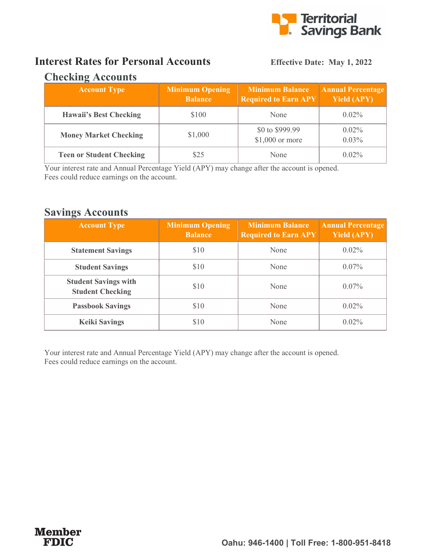

## Interest Rates for Personal Accounts Effective Date: May 1, 2022

### Checking Accounts

| <b>Account Type</b>             | <b>Minimum Opening</b><br><b>Balance</b> | <b>Minimum Balance</b><br><b>Required to Earn APY</b> | <b>Annual Percentage</b><br><b>Yield (APY)</b> |
|---------------------------------|------------------------------------------|-------------------------------------------------------|------------------------------------------------|
| <b>Hawaii's Best Checking</b>   | \$100                                    | None                                                  | $0.02\%$                                       |
| <b>Money Market Checking</b>    | \$1,000                                  | \$0 to \$999.99<br>$$1,000$ or more                   | $0.02\%$<br>$0.03\%$                           |
| <b>Teen or Student Checking</b> |                                          | None                                                  | $0.02\%$                                       |

Your interest rate and Annual Percentage Yield (APY) may change after the account is opened. Fees could reduce earnings on the account.

### Savings Accounts

| <b>Account Type</b>                                    | <b>Minimum Opening</b><br><b>Balance</b> | <b>Minimum Balance</b><br><b>Required to Earn APY</b> | <b>Annual Percentage</b><br><b>Yield (APY)</b> |
|--------------------------------------------------------|------------------------------------------|-------------------------------------------------------|------------------------------------------------|
| <b>Statement Savings</b>                               | \$10                                     | None                                                  | $0.02\%$                                       |
| <b>Student Savings</b>                                 | \$10                                     | None                                                  | $0.07\%$                                       |
| <b>Student Savings with</b><br><b>Student Checking</b> | \$10                                     | None                                                  | $0.07\%$                                       |
| <b>Passbook Savings</b>                                | \$10                                     | None                                                  | $0.02\%$                                       |
| <b>Keiki Savings</b>                                   | \$10                                     | None                                                  | $0.02\%$                                       |

Your interest rate and Annual Percentage Yield (APY) may change after the account is opened. Fees could reduce earnings on the account.